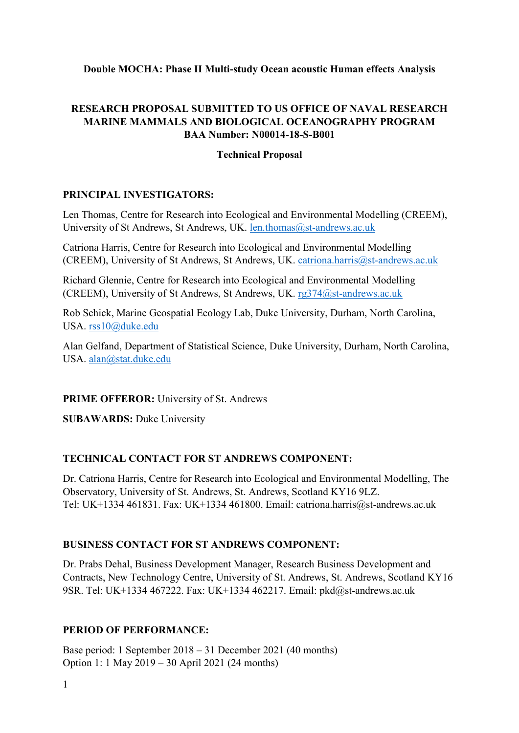### **Double MOCHA: Phase II Multi-study Ocean acoustic Human effects Analysis**

## **RESEARCH PROPOSAL SUBMITTED TO US OFFICE OF NAVAL RESEARCH MARINE MAMMALS AND BIOLOGICAL OCEANOGRAPHY PROGRAM BAA Number: N00014-18-S-B001**

### **Technical Proposal**

#### **PRINCIPAL INVESTIGATORS:**

Len Thomas, Centre for Research into Ecological and Environmental Modelling (CREEM), University of St Andrews, St Andrews, UK. [len.thomas@st-andrews.ac.uk](mailto:len.thomas@st-andrews.ac.uk)

Catriona Harris, Centre for Research into Ecological and Environmental Modelling (CREEM), University of St Andrews, St Andrews, UK. [catriona.harris@st-andrews.ac.uk](mailto:catriona.harris@st-andrews.ac.uk)

Richard Glennie, Centre for Research into Ecological and Environmental Modelling (CREEM), University of St Andrews, St Andrews, UK.  $rg374@st$ -andrews.ac.uk

Rob Schick, Marine Geospatial Ecology Lab, Duke University, Durham, North Carolina, USA. [rss10@duke.edu](mailto:rss10@duke.edu)

Alan Gelfand, Department of Statistical Science, Duke University, Durham, North Carolina, USA. [alan@stat.duke.edu](mailto:alan@stat.duke.edu)

#### **PRIME OFFEROR:** University of St. Andrews

**SUBAWARDS: Duke University** 

### **TECHNICAL CONTACT FOR ST ANDREWS COMPONENT:**

Dr. Catriona Harris, Centre for Research into Ecological and Environmental Modelling, The Observatory, University of St. Andrews, St. Andrews, Scotland KY16 9LZ. Tel: UK+1334 461831. Fax: UK+1334 461800. Email: catriona.harris@st-andrews.ac.uk

### **BUSINESS CONTACT FOR ST ANDREWS COMPONENT:**

Dr. Prabs Dehal, Business Development Manager, Research Business Development and Contracts, New Technology Centre, University of St. Andrews, St. Andrews, Scotland KY16 9SR. Tel: UK+1334 467222. Fax: UK+1334 462217. Email: pkd@st-andrews.ac.uk

### **PERIOD OF PERFORMANCE:**

Base period: 1 September 2018 – 31 December 2021 (40 months) Option 1: 1 May 2019 – 30 April 2021 (24 months)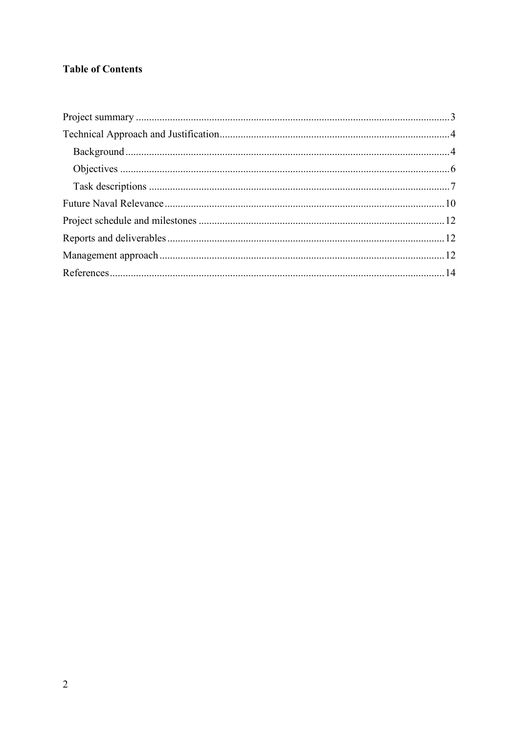# **Table of Contents**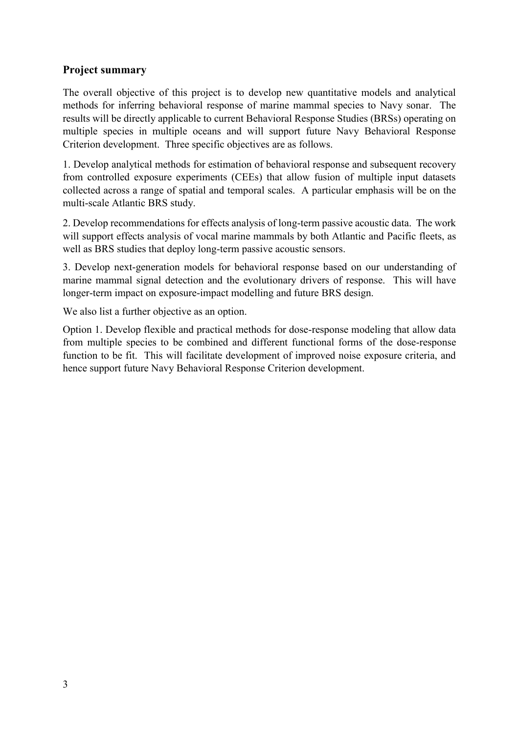# <span id="page-2-0"></span>**Project summary**

The overall objective of this project is to develop new quantitative models and analytical methods for inferring behavioral response of marine mammal species to Navy sonar. The results will be directly applicable to current Behavioral Response Studies (BRSs) operating on multiple species in multiple oceans and will support future Navy Behavioral Response Criterion development. Three specific objectives are as follows.

1. Develop analytical methods for estimation of behavioral response and subsequent recovery from controlled exposure experiments (CEEs) that allow fusion of multiple input datasets collected across a range of spatial and temporal scales. A particular emphasis will be on the multi-scale Atlantic BRS study.

2. Develop recommendations for effects analysis of long-term passive acoustic data. The work will support effects analysis of vocal marine mammals by both Atlantic and Pacific fleets, as well as BRS studies that deploy long-term passive acoustic sensors.

3. Develop next-generation models for behavioral response based on our understanding of marine mammal signal detection and the evolutionary drivers of response. This will have longer-term impact on exposure-impact modelling and future BRS design.

We also list a further objective as an option.

Option 1. Develop flexible and practical methods for dose-response modeling that allow data from multiple species to be combined and different functional forms of the dose-response function to be fit. This will facilitate development of improved noise exposure criteria, and hence support future Navy Behavioral Response Criterion development.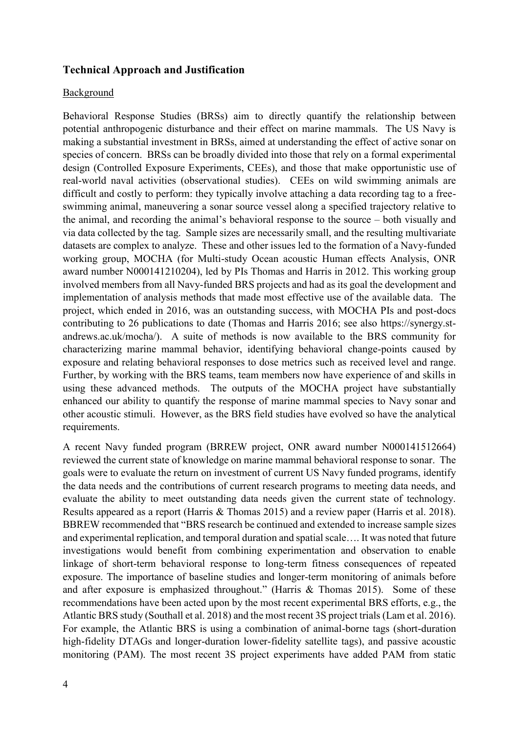#### <span id="page-3-0"></span>**Technical Approach and Justification**

#### <span id="page-3-1"></span>Background

Behavioral Response Studies (BRSs) aim to directly quantify the relationship between potential anthropogenic disturbance and their effect on marine mammals. The US Navy is making a substantial investment in BRSs, aimed at understanding the effect of active sonar on species of concern. BRSs can be broadly divided into those that rely on a formal experimental design (Controlled Exposure Experiments, CEEs), and those that make opportunistic use of real-world naval activities (observational studies). CEEs on wild swimming animals are difficult and costly to perform: they typically involve attaching a data recording tag to a freeswimming animal, maneuvering a sonar source vessel along a specified trajectory relative to the animal, and recording the animal's behavioral response to the source – both visually and via data collected by the tag. Sample sizes are necessarily small, and the resulting multivariate datasets are complex to analyze. These and other issues led to the formation of a Navy-funded working group, MOCHA (for Multi-study Ocean acoustic Human effects Analysis, ONR award number N000141210204), led by PIs Thomas and Harris in 2012. This working group involved members from all Navy-funded BRS projects and had as its goal the development and implementation of analysis methods that made most effective use of the available data. The project, which ended in 2016, was an outstanding success, with MOCHA PIs and post-docs contributing to 26 publications to date (Thomas and Harris 2016; see also https://synergy.standrews.ac.uk/mocha/). A suite of methods is now available to the BRS community for characterizing marine mammal behavior, identifying behavioral change-points caused by exposure and relating behavioral responses to dose metrics such as received level and range. Further, by working with the BRS teams, team members now have experience of and skills in using these advanced methods. The outputs of the MOCHA project have substantially enhanced our ability to quantify the response of marine mammal species to Navy sonar and other acoustic stimuli. However, as the BRS field studies have evolved so have the analytical requirements.

A recent Navy funded program (BRREW project, ONR award number N000141512664) reviewed the current state of knowledge on marine mammal behavioral response to sonar. The goals were to evaluate the return on investment of current US Navy funded programs, identify the data needs and the contributions of current research programs to meeting data needs, and evaluate the ability to meet outstanding data needs given the current state of technology. Results appeared as a report (Harris & Thomas 2015) and a review paper (Harris et al. 2018). BBREW recommended that "BRS research be continued and extended to increase sample sizes and experimental replication, and temporal duration and spatial scale…. It was noted that future investigations would benefit from combining experimentation and observation to enable linkage of short-term behavioral response to long-term fitness consequences of repeated exposure. The importance of baseline studies and longer-term monitoring of animals before and after exposure is emphasized throughout." (Harris & Thomas 2015). Some of these recommendations have been acted upon by the most recent experimental BRS efforts, e.g., the Atlantic BRS study (Southall et al. 2018) and the most recent 3S project trials (Lam et al. 2016). For example, the Atlantic BRS is using a combination of animal-borne tags (short-duration high-fidelity DTAGs and longer-duration lower-fidelity satellite tags), and passive acoustic monitoring (PAM). The most recent 3S project experiments have added PAM from static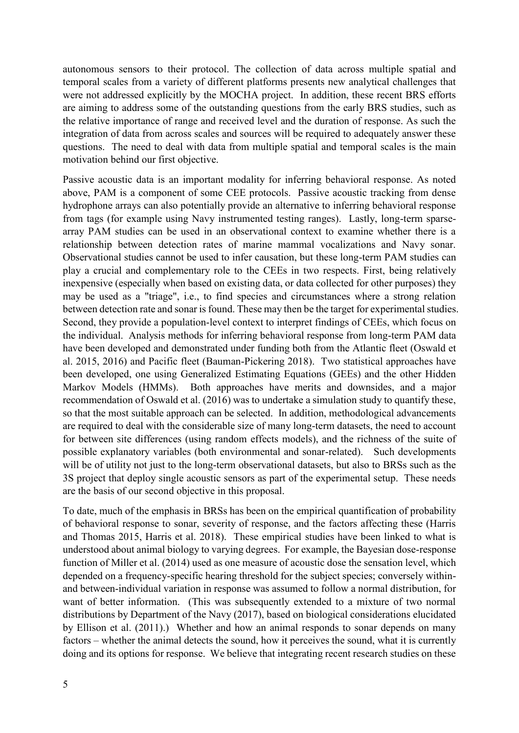autonomous sensors to their protocol. The collection of data across multiple spatial and temporal scales from a variety of different platforms presents new analytical challenges that were not addressed explicitly by the MOCHA project. In addition, these recent BRS efforts are aiming to address some of the outstanding questions from the early BRS studies, such as the relative importance of range and received level and the duration of response. As such the integration of data from across scales and sources will be required to adequately answer these questions. The need to deal with data from multiple spatial and temporal scales is the main motivation behind our first objective.

Passive acoustic data is an important modality for inferring behavioral response. As noted above, PAM is a component of some CEE protocols. Passive acoustic tracking from dense hydrophone arrays can also potentially provide an alternative to inferring behavioral response from tags (for example using Navy instrumented testing ranges). Lastly, long-term sparsearray PAM studies can be used in an observational context to examine whether there is a relationship between detection rates of marine mammal vocalizations and Navy sonar. Observational studies cannot be used to infer causation, but these long-term PAM studies can play a crucial and complementary role to the CEEs in two respects. First, being relatively inexpensive (especially when based on existing data, or data collected for other purposes) they may be used as a "triage", i.e., to find species and circumstances where a strong relation between detection rate and sonar is found. These may then be the target for experimental studies. Second, they provide a population-level context to interpret findings of CEEs, which focus on the individual. Analysis methods for inferring behavioral response from long-term PAM data have been developed and demonstrated under funding both from the Atlantic fleet (Oswald et al. 2015, 2016) and Pacific fleet (Bauman-Pickering 2018). Two statistical approaches have been developed, one using Generalized Estimating Equations (GEEs) and the other Hidden Markov Models (HMMs). Both approaches have merits and downsides, and a major recommendation of Oswald et al. (2016) was to undertake a simulation study to quantify these, so that the most suitable approach can be selected. In addition, methodological advancements are required to deal with the considerable size of many long-term datasets, the need to account for between site differences (using random effects models), and the richness of the suite of possible explanatory variables (both environmental and sonar-related). Such developments will be of utility not just to the long-term observational datasets, but also to BRSs such as the 3S project that deploy single acoustic sensors as part of the experimental setup. These needs are the basis of our second objective in this proposal.

To date, much of the emphasis in BRSs has been on the empirical quantification of probability of behavioral response to sonar, severity of response, and the factors affecting these (Harris and Thomas 2015, Harris et al. 2018). These empirical studies have been linked to what is understood about animal biology to varying degrees. For example, the Bayesian dose-response function of Miller et al. (2014) used as one measure of acoustic dose the sensation level, which depended on a frequency-specific hearing threshold for the subject species; conversely withinand between-individual variation in response was assumed to follow a normal distribution, for want of better information. (This was subsequently extended to a mixture of two normal distributions by Department of the Navy (2017), based on biological considerations elucidated by Ellison et al. (2011).) Whether and how an animal responds to sonar depends on many factors – whether the animal detects the sound, how it perceives the sound, what it is currently doing and its options for response. We believe that integrating recent research studies on these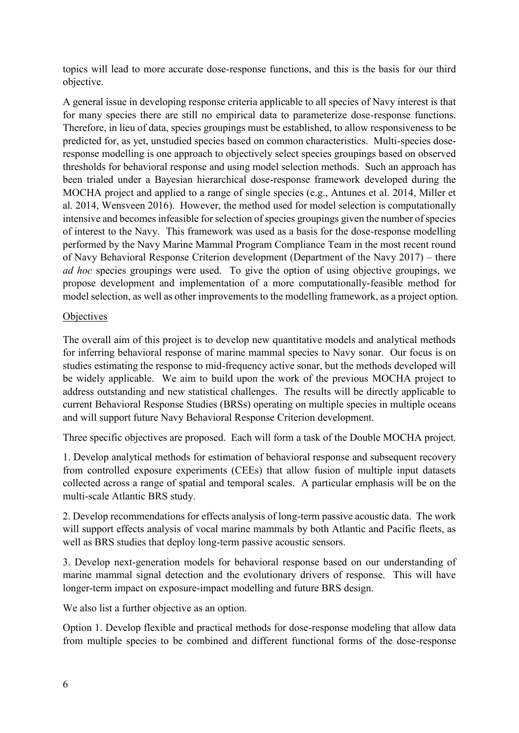topics will lead to more accurate dose-response functions, and this is the basis for our third objective.

A general issue in developing response criteria applicable to all species of Navy interest is that for many species there are still no empirical data to parameterize dose-response functions. Therefore, in lieu of data, species groupings must be established, to allow responsiveness to be predicted for, as yet, unstudied species based on common characteristics. Multi-species doseresponse modelling is one approach to objectively select species groupings based on observed thresholds for behavioral response and using model selection methods. Such an approach has been trialed under a Bayesian hierarchical dose-response framework developed during the MOCHA project and applied to a range of single species (e.g., Antunes et al. 2014, Miller et al. 2014, Wensveen 2016). However, the method used for model selection is computationally intensive and becomes infeasible for selection of species groupings given the number of species of interest to the Navy. This framework was used as a basis for the dose-response modelling performed by the Navy Marine Mammal Program Compliance Team in the most recent round of Navy Behavioral Response Criterion development (Department of the Navy 2017) – there *ad hoc* species groupings were used. To give the option of using objective groupings, we propose development and implementation of a more computationally-feasible method for model selection, as well as other improvements to the modelling framework, as a project option.

### <span id="page-5-0"></span>**Objectives**

The overall aim of this project is to develop new quantitative models and analytical methods for inferring behavioral response of marine mammal species to Navy sonar. Our focus is on studies estimating the response to mid-frequency active sonar, but the methods developed will be widely applicable. We aim to build upon the work of the previous MOCHA project to address outstanding and new statistical challenges. The results will be directly applicable to current Behavioral Response Studies (BRSs) operating on multiple species in multiple oceans and will support future Navy Behavioral Response Criterion development.

Three specific objectives are proposed. Each will form a task of the Double MOCHA project.

1. Develop analytical methods for estimation of behavioral response and subsequent recovery from controlled exposure experiments (CEEs) that allow fusion of multiple input datasets collected across a range of spatial and temporal scales. A particular emphasis will be on the multi-scale Atlantic BRS study.

2. Develop recommendations for effects analysis of long-term passive acoustic data. The work will support effects analysis of vocal marine mammals by both Atlantic and Pacific fleets, as well as BRS studies that deploy long-term passive acoustic sensors.

3. Develop next-generation models for behavioral response based on our understanding of marine mammal signal detection and the evolutionary drivers of response. This will have longer-term impact on exposure-impact modelling and future BRS design.

We also list a further objective as an option.

Option 1. Develop flexible and practical methods for dose-response modeling that allow data from multiple species to be combined and different functional forms of the dose-response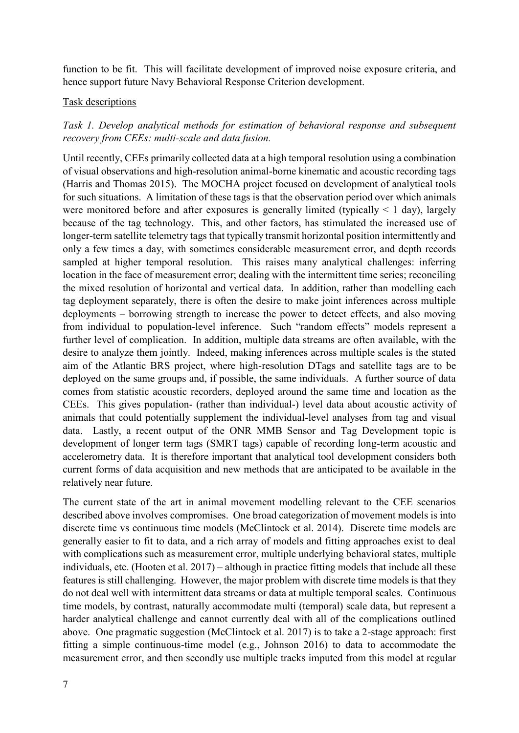function to be fit. This will facilitate development of improved noise exposure criteria, and hence support future Navy Behavioral Response Criterion development.

#### <span id="page-6-0"></span>Task descriptions

*Task 1. Develop analytical methods for estimation of behavioral response and subsequent recovery from CEEs: multi-scale and data fusion.* 

Until recently, CEEs primarily collected data at a high temporal resolution using a combination of visual observations and high-resolution animal-borne kinematic and acoustic recording tags (Harris and Thomas 2015). The MOCHA project focused on development of analytical tools for such situations. A limitation of these tags is that the observation period over which animals were monitored before and after exposures is generally limited (typically  $\leq 1$  day), largely because of the tag technology. This, and other factors, has stimulated the increased use of longer-term satellite telemetry tags that typically transmit horizontal position intermittently and only a few times a day, with sometimes considerable measurement error, and depth records sampled at higher temporal resolution. This raises many analytical challenges: inferring location in the face of measurement error; dealing with the intermittent time series; reconciling the mixed resolution of horizontal and vertical data. In addition, rather than modelling each tag deployment separately, there is often the desire to make joint inferences across multiple deployments – borrowing strength to increase the power to detect effects, and also moving from individual to population-level inference. Such "random effects" models represent a further level of complication. In addition, multiple data streams are often available, with the desire to analyze them jointly. Indeed, making inferences across multiple scales is the stated aim of the Atlantic BRS project, where high-resolution DTags and satellite tags are to be deployed on the same groups and, if possible, the same individuals. A further source of data comes from statistic acoustic recorders, deployed around the same time and location as the CEEs. This gives population- (rather than individual-) level data about acoustic activity of animals that could potentially supplement the individual-level analyses from tag and visual data. Lastly, a recent output of the ONR MMB Sensor and Tag Development topic is development of longer term tags (SMRT tags) capable of recording long-term acoustic and accelerometry data. It is therefore important that analytical tool development considers both current forms of data acquisition and new methods that are anticipated to be available in the relatively near future.

The current state of the art in animal movement modelling relevant to the CEE scenarios described above involves compromises. One broad categorization of movement models is into discrete time vs continuous time models (McClintock et al. 2014). Discrete time models are generally easier to fit to data, and a rich array of models and fitting approaches exist to deal with complications such as measurement error, multiple underlying behavioral states, multiple individuals, etc. (Hooten et al. 2017) – although in practice fitting models that include all these features is still challenging. However, the major problem with discrete time models is that they do not deal well with intermittent data streams or data at multiple temporal scales. Continuous time models, by contrast, naturally accommodate multi (temporal) scale data, but represent a harder analytical challenge and cannot currently deal with all of the complications outlined above. One pragmatic suggestion (McClintock et al. 2017) is to take a 2-stage approach: first fitting a simple continuous-time model (e.g., Johnson 2016) to data to accommodate the measurement error, and then secondly use multiple tracks imputed from this model at regular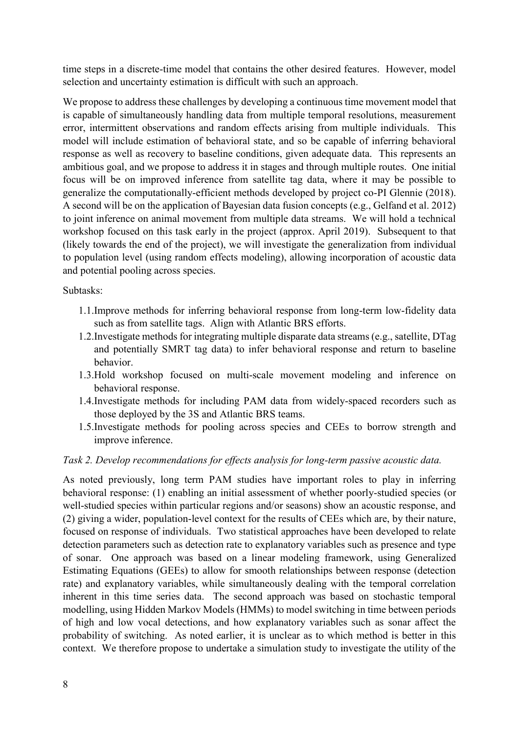time steps in a discrete-time model that contains the other desired features. However, model selection and uncertainty estimation is difficult with such an approach.

We propose to address these challenges by developing a continuous time movement model that is capable of simultaneously handling data from multiple temporal resolutions, measurement error, intermittent observations and random effects arising from multiple individuals. This model will include estimation of behavioral state, and so be capable of inferring behavioral response as well as recovery to baseline conditions, given adequate data. This represents an ambitious goal, and we propose to address it in stages and through multiple routes. One initial focus will be on improved inference from satellite tag data, where it may be possible to generalize the computationally-efficient methods developed by project co-PI Glennie (2018). A second will be on the application of Bayesian data fusion concepts (e.g., Gelfand et al. 2012) to joint inference on animal movement from multiple data streams. We will hold a technical workshop focused on this task early in the project (approx. April 2019). Subsequent to that (likely towards the end of the project), we will investigate the generalization from individual to population level (using random effects modeling), allowing incorporation of acoustic data and potential pooling across species.

### Subtasks:

- 1.1.Improve methods for inferring behavioral response from long-term low-fidelity data such as from satellite tags. Align with Atlantic BRS efforts.
- 1.2.Investigate methods for integrating multiple disparate data streams (e.g., satellite, DTag and potentially SMRT tag data) to infer behavioral response and return to baseline behavior.
- 1.3.Hold workshop focused on multi-scale movement modeling and inference on behavioral response.
- 1.4.Investigate methods for including PAM data from widely-spaced recorders such as those deployed by the 3S and Atlantic BRS teams.
- 1.5.Investigate methods for pooling across species and CEEs to borrow strength and improve inference.

### *Task 2. Develop recommendations for effects analysis for long-term passive acoustic data.*

As noted previously, long term PAM studies have important roles to play in inferring behavioral response: (1) enabling an initial assessment of whether poorly-studied species (or well-studied species within particular regions and/or seasons) show an acoustic response, and (2) giving a wider, population-level context for the results of CEEs which are, by their nature, focused on response of individuals. Two statistical approaches have been developed to relate detection parameters such as detection rate to explanatory variables such as presence and type of sonar. One approach was based on a linear modeling framework, using Generalized Estimating Equations (GEEs) to allow for smooth relationships between response (detection rate) and explanatory variables, while simultaneously dealing with the temporal correlation inherent in this time series data. The second approach was based on stochastic temporal modelling, using Hidden Markov Models (HMMs) to model switching in time between periods of high and low vocal detections, and how explanatory variables such as sonar affect the probability of switching. As noted earlier, it is unclear as to which method is better in this context. We therefore propose to undertake a simulation study to investigate the utility of the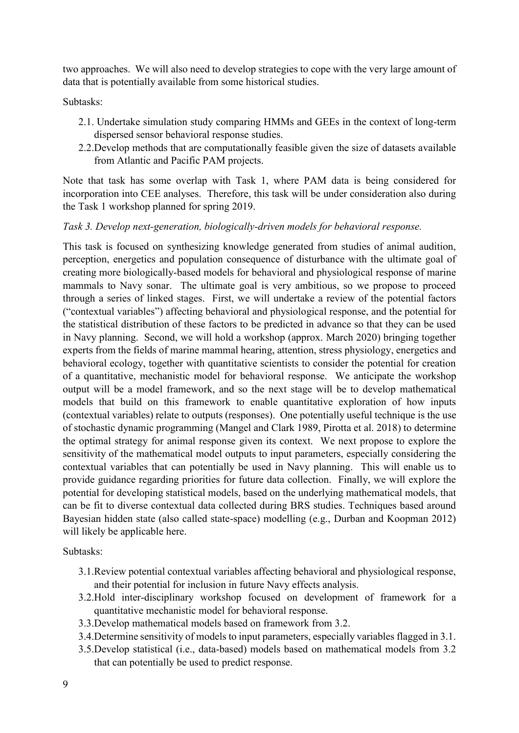two approaches. We will also need to develop strategies to cope with the very large amount of data that is potentially available from some historical studies.

Subtasks:

- 2.1. Undertake simulation study comparing HMMs and GEEs in the context of long-term dispersed sensor behavioral response studies.
- 2.2.Develop methods that are computationally feasible given the size of datasets available from Atlantic and Pacific PAM projects.

Note that task has some overlap with Task 1, where PAM data is being considered for incorporation into CEE analyses. Therefore, this task will be under consideration also during the Task 1 workshop planned for spring 2019.

### *Task 3. Develop next-generation, biologically-driven models for behavioral response.*

This task is focused on synthesizing knowledge generated from studies of animal audition, perception, energetics and population consequence of disturbance with the ultimate goal of creating more biologically-based models for behavioral and physiological response of marine mammals to Navy sonar. The ultimate goal is very ambitious, so we propose to proceed through a series of linked stages. First, we will undertake a review of the potential factors ("contextual variables") affecting behavioral and physiological response, and the potential for the statistical distribution of these factors to be predicted in advance so that they can be used in Navy planning. Second, we will hold a workshop (approx. March 2020) bringing together experts from the fields of marine mammal hearing, attention, stress physiology, energetics and behavioral ecology, together with quantitative scientists to consider the potential for creation of a quantitative, mechanistic model for behavioral response. We anticipate the workshop output will be a model framework, and so the next stage will be to develop mathematical models that build on this framework to enable quantitative exploration of how inputs (contextual variables) relate to outputs (responses). One potentially useful technique is the use of stochastic dynamic programming (Mangel and Clark 1989, Pirotta et al. 2018) to determine the optimal strategy for animal response given its context. We next propose to explore the sensitivity of the mathematical model outputs to input parameters, especially considering the contextual variables that can potentially be used in Navy planning. This will enable us to provide guidance regarding priorities for future data collection. Finally, we will explore the potential for developing statistical models, based on the underlying mathematical models, that can be fit to diverse contextual data collected during BRS studies. Techniques based around Bayesian hidden state (also called state-space) modelling (e.g., Durban and Koopman 2012) will likely be applicable here.

Subtasks:

- 3.1.Review potential contextual variables affecting behavioral and physiological response, and their potential for inclusion in future Navy effects analysis.
- 3.2.Hold inter-disciplinary workshop focused on development of framework for a quantitative mechanistic model for behavioral response.
- 3.3.Develop mathematical models based on framework from 3.2.
- 3.4.Determine sensitivity of models to input parameters, especially variables flagged in 3.1.
- 3.5.Develop statistical (i.e., data-based) models based on mathematical models from 3.2 that can potentially be used to predict response.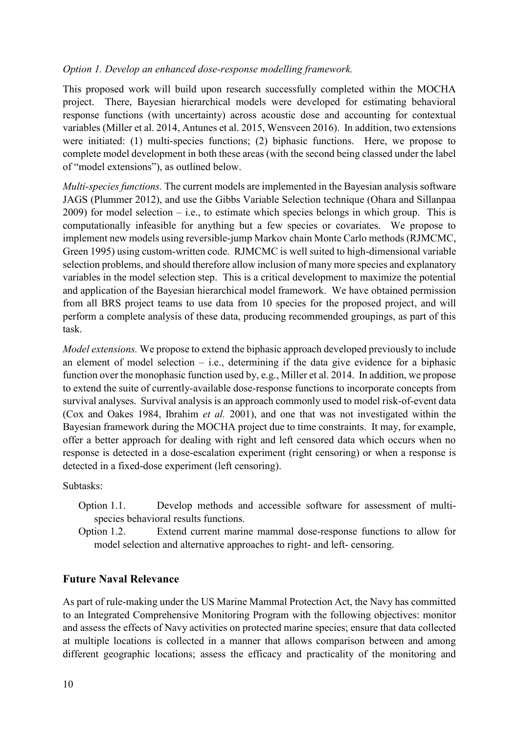### *Option 1. Develop an enhanced dose-response modelling framework.*

This proposed work will build upon research successfully completed within the MOCHA project. There, Bayesian hierarchical models were developed for estimating behavioral response functions (with uncertainty) across acoustic dose and accounting for contextual variables (Miller et al. 2014, Antunes et al. 2015, Wensveen 2016). In addition, two extensions were initiated: (1) multi-species functions; (2) biphasic functions. Here, we propose to complete model development in both these areas (with the second being classed under the label of "model extensions"), as outlined below.

*Multi-species functions.* The current models are implemented in the Bayesian analysis software JAGS (Plummer 2012), and use the Gibbs Variable Selection technique (Ohara and Sillanpaa 2009) for model selection – i.e., to estimate which species belongs in which group. This is computationally infeasible for anything but a few species or covariates. We propose to implement new models using reversible-jump Markov chain Monte Carlo methods (RJMCMC, Green 1995) using custom-written code. RJMCMC is well suited to high-dimensional variable selection problems, and should therefore allow inclusion of many more species and explanatory variables in the model selection step. This is a critical development to maximize the potential and application of the Bayesian hierarchical model framework. We have obtained permission from all BRS project teams to use data from 10 species for the proposed project, and will perform a complete analysis of these data, producing recommended groupings, as part of this task.

*Model extensions.* We propose to extend the biphasic approach developed previously to include an element of model selection  $-$  i.e., determining if the data give evidence for a biphasic function over the monophasic function used by, e.g., Miller et al. 2014. In addition, we propose to extend the suite of currently-available dose-response functions to incorporate concepts from survival analyses. Survival analysis is an approach commonly used to model risk-of-event data (Cox and Oakes 1984, Ibrahim *et al.* 2001), and one that was not investigated within the Bayesian framework during the MOCHA project due to time constraints. It may, for example, offer a better approach for dealing with right and left censored data which occurs when no response is detected in a dose-escalation experiment (right censoring) or when a response is detected in a fixed-dose experiment (left censoring).

Subtasks:

- Option 1.1. Develop methods and accessible software for assessment of multispecies behavioral results functions.
- Option 1.2. Extend current marine mammal dose-response functions to allow for model selection and alternative approaches to right- and left- censoring.

## <span id="page-9-0"></span>**Future Naval Relevance**

As part of rule-making under the US Marine Mammal Protection Act, the Navy has committed to an Integrated Comprehensive Monitoring Program with the following objectives: monitor and assess the effects of Navy activities on protected marine species; ensure that data collected at multiple locations is collected in a manner that allows comparison between and among different geographic locations; assess the efficacy and practicality of the monitoring and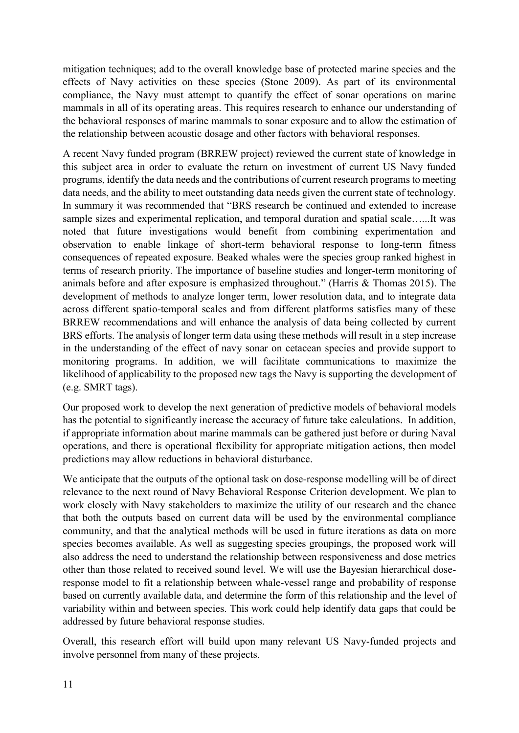mitigation techniques; add to the overall knowledge base of protected marine species and the effects of Navy activities on these species (Stone 2009). As part of its environmental compliance, the Navy must attempt to quantify the effect of sonar operations on marine mammals in all of its operating areas. This requires research to enhance our understanding of the behavioral responses of marine mammals to sonar exposure and to allow the estimation of the relationship between acoustic dosage and other factors with behavioral responses.

A recent Navy funded program (BRREW project) reviewed the current state of knowledge in this subject area in order to evaluate the return on investment of current US Navy funded programs, identify the data needs and the contributions of current research programs to meeting data needs, and the ability to meet outstanding data needs given the current state of technology. In summary it was recommended that "BRS research be continued and extended to increase sample sizes and experimental replication, and temporal duration and spatial scale…...It was noted that future investigations would benefit from combining experimentation and observation to enable linkage of short-term behavioral response to long-term fitness consequences of repeated exposure. Beaked whales were the species group ranked highest in terms of research priority. The importance of baseline studies and longer-term monitoring of animals before and after exposure is emphasized throughout." (Harris & Thomas 2015). The development of methods to analyze longer term, lower resolution data, and to integrate data across different spatio-temporal scales and from different platforms satisfies many of these BRREW recommendations and will enhance the analysis of data being collected by current BRS efforts. The analysis of longer term data using these methods will result in a step increase in the understanding of the effect of navy sonar on cetacean species and provide support to monitoring programs. In addition, we will facilitate communications to maximize the likelihood of applicability to the proposed new tags the Navy is supporting the development of (e.g. SMRT tags).

Our proposed work to develop the next generation of predictive models of behavioral models has the potential to significantly increase the accuracy of future take calculations. In addition, if appropriate information about marine mammals can be gathered just before or during Naval operations, and there is operational flexibility for appropriate mitigation actions, then model predictions may allow reductions in behavioral disturbance.

We anticipate that the outputs of the optional task on dose-response modelling will be of direct relevance to the next round of Navy Behavioral Response Criterion development. We plan to work closely with Navy stakeholders to maximize the utility of our research and the chance that both the outputs based on current data will be used by the environmental compliance community, and that the analytical methods will be used in future iterations as data on more species becomes available. As well as suggesting species groupings, the proposed work will also address the need to understand the relationship between responsiveness and dose metrics other than those related to received sound level. We will use the Bayesian hierarchical doseresponse model to fit a relationship between whale-vessel range and probability of response based on currently available data, and determine the form of this relationship and the level of variability within and between species. This work could help identify data gaps that could be addressed by future behavioral response studies.

Overall, this research effort will build upon many relevant US Navy-funded projects and involve personnel from many of these projects.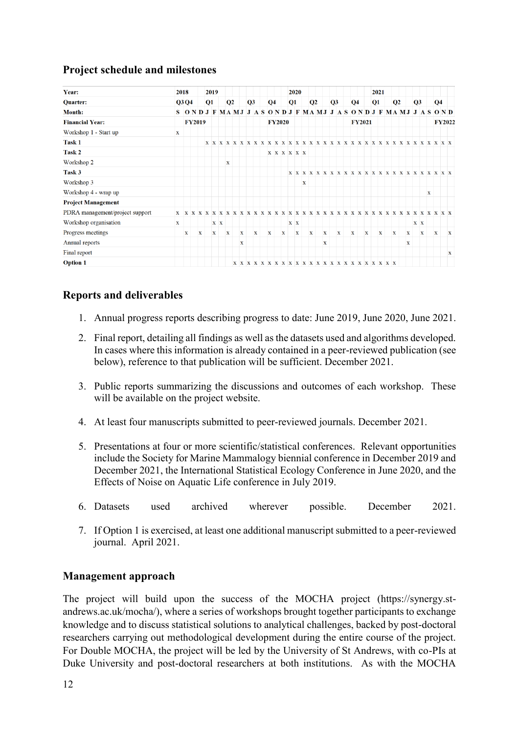# <span id="page-11-0"></span>**Project schedule and milestones**

| Year:                           | 2018        |               |              | 2019<br><b>Q1</b> |              |                |  |              |              |  |                |             |              |                | 2020         |                |             |   |              |              |  |             |                |              |    | 2021         |                |   |              |   |                |                                                 |  |
|---------------------------------|-------------|---------------|--------------|-------------------|--------------|----------------|--|--------------|--------------|--|----------------|-------------|--------------|----------------|--------------|----------------|-------------|---|--------------|--------------|--|-------------|----------------|--------------|----|--------------|----------------|---|--------------|---|----------------|-------------------------------------------------|--|
| <b>Quarter:</b>                 |             | Q3 Q4         |              |                   |              | Q <sub>2</sub> |  |              | Q3           |  | Q <sub>4</sub> |             |              | Q <sub>1</sub> |              | Q <sub>2</sub> |             |   |              | Q3           |  |             | Q <sub>4</sub> |              | Q1 |              | Q <sub>2</sub> |   | Q3           |   | Q <sub>4</sub> |                                                 |  |
| <b>Month:</b>                   |             |               |              |                   |              |                |  |              |              |  |                |             |              |                |              |                |             |   |              |              |  |             |                |              |    |              |                |   |              |   |                | S ONDJF MAMJ JASONDJF MAMJ JASONDJF MAMJ JASOND |  |
| <b>Financial Year:</b>          |             | <b>FY2019</b> |              |                   |              |                |  |              |              |  |                |             |              | <b>FY2020</b>  |              |                |             |   |              |              |  |             | <b>FY2021</b>  |              |    |              |                |   |              |   |                | <b>FY2022</b>                                   |  |
| Workshop 1 - Start up           | x           |               |              |                   |              |                |  |              |              |  |                |             |              |                |              |                |             |   |              |              |  |             |                |              |    |              |                |   |              |   |                |                                                 |  |
| Task 1                          |             |               |              |                   |              |                |  |              |              |  |                |             |              |                |              |                |             |   |              |              |  |             |                |              |    |              |                |   |              |   |                |                                                 |  |
| Task 2                          |             |               |              |                   |              |                |  |              |              |  |                | X X X X X X |              |                |              |                |             |   |              |              |  |             |                |              |    |              |                |   |              |   |                |                                                 |  |
| Workshop 2                      |             |               |              |                   |              | X              |  |              |              |  |                |             |              |                |              |                |             |   |              |              |  |             |                |              |    |              |                |   |              |   |                |                                                 |  |
| Task 3                          |             |               |              |                   |              |                |  |              |              |  |                |             |              |                |              |                |             |   |              |              |  |             |                |              |    |              |                |   |              |   |                |                                                 |  |
| Workshop 3                      |             |               |              |                   |              |                |  |              |              |  |                |             |              |                |              | x              |             |   |              |              |  |             |                |              |    |              |                |   |              |   |                |                                                 |  |
| Workshop 4 - wrap up            |             |               |              |                   |              |                |  |              |              |  |                |             |              |                |              |                |             |   |              |              |  |             |                |              |    |              |                |   |              | X |                |                                                 |  |
| <b>Project Management</b>       |             |               |              |                   |              |                |  |              |              |  |                |             |              |                |              |                |             |   |              |              |  |             |                |              |    |              |                |   |              |   |                |                                                 |  |
| PDRA management/project support |             |               |              |                   |              |                |  |              |              |  |                |             |              |                |              |                |             |   |              |              |  |             |                |              |    |              |                |   |              |   |                |                                                 |  |
| Workshop organisation           | $\mathbf x$ |               |              |                   | X X          |                |  |              |              |  |                |             |              |                | X X          |                |             |   |              |              |  |             |                |              |    |              |                |   | X X          |   |                |                                                 |  |
| Progress meetings               |             | $\mathbf x$   | $\mathbf{x}$ |                   | $\mathbf{x}$ | $\mathbf{x}$   |  | $\mathbf{x}$ | $\mathbf{x}$ |  | $\mathbf{x}$   |             | $\mathbf{X}$ |                | $\mathbf{x}$ |                | $\mathbf X$ |   | $\mathbf{x}$ | $\mathbf{x}$ |  | $\mathbf X$ |                | $\mathbf{x}$ |    | $\mathbf{x}$ | $\mathbf x$    | X | $\mathbf{x}$ |   | $\mathbf x$    | $\mathbf{x}$                                    |  |
| Annual reports                  |             |               |              |                   |              |                |  | X            |              |  |                |             |              |                |              |                |             | X |              |              |  |             |                |              |    |              |                | X |              |   |                |                                                 |  |
| Final report                    |             |               |              |                   |              |                |  |              |              |  |                |             |              |                |              |                |             |   |              |              |  |             |                |              |    |              |                |   |              |   |                | X                                               |  |
| <b>Option 1</b>                 |             |               |              |                   |              |                |  |              |              |  |                |             |              |                |              |                |             |   |              |              |  |             |                |              |    |              |                |   |              |   |                |                                                 |  |

# <span id="page-11-1"></span>**Reports and deliverables**

- 1. Annual progress reports describing progress to date: June 2019, June 2020, June 2021.
- 2. Final report, detailing all findings as well as the datasets used and algorithms developed. In cases where this information is already contained in a peer-reviewed publication (see below), reference to that publication will be sufficient. December 2021.
- 3. Public reports summarizing the discussions and outcomes of each workshop. These will be available on the project website.
- 4. At least four manuscripts submitted to peer-reviewed journals. December 2021.
- 5. Presentations at four or more scientific/statistical conferences. Relevant opportunities include the Society for Marine Mammalogy biennial conference in December 2019 and December 2021, the International Statistical Ecology Conference in June 2020, and the Effects of Noise on Aquatic Life conference in July 2019.
- 6. Datasets used archived wherever possible. December 2021.
- 7. If Option 1 is exercised, at least one additional manuscript submitted to a peer-reviewed journal. April 2021.

## <span id="page-11-2"></span>**Management approach**

The project will build upon the success of the MOCHA project (https://synergy.standrews.ac.uk/mocha/), where a series of workshops brought together participants to exchange knowledge and to discuss statistical solutions to analytical challenges, backed by post-doctoral researchers carrying out methodological development during the entire course of the project. For Double MOCHA, the project will be led by the University of St Andrews, with co-PIs at Duke University and post-doctoral researchers at both institutions. As with the MOCHA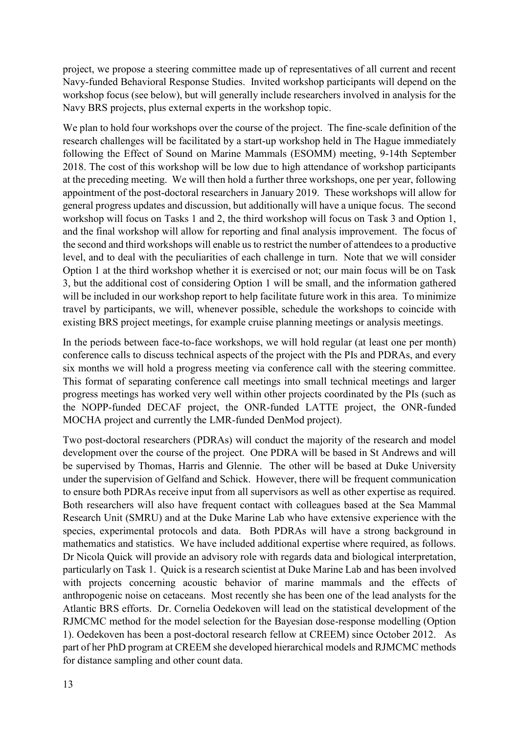project, we propose a steering committee made up of representatives of all current and recent Navy-funded Behavioral Response Studies. Invited workshop participants will depend on the workshop focus (see below), but will generally include researchers involved in analysis for the Navy BRS projects, plus external experts in the workshop topic.

We plan to hold four workshops over the course of the project. The fine-scale definition of the research challenges will be facilitated by a start-up workshop held in The Hague immediately following the Effect of Sound on Marine Mammals (ESOMM) meeting, 9-14th September 2018. The cost of this workshop will be low due to high attendance of workshop participants at the preceding meeting. We will then hold a further three workshops, one per year, following appointment of the post-doctoral researchers in January 2019. These workshops will allow for general progress updates and discussion, but additionally will have a unique focus. The second workshop will focus on Tasks 1 and 2, the third workshop will focus on Task 3 and Option 1, and the final workshop will allow for reporting and final analysis improvement. The focus of the second and third workshops will enable us to restrict the number of attendees to a productive level, and to deal with the peculiarities of each challenge in turn. Note that we will consider Option 1 at the third workshop whether it is exercised or not; our main focus will be on Task 3, but the additional cost of considering Option 1 will be small, and the information gathered will be included in our workshop report to help facilitate future work in this area. To minimize travel by participants, we will, whenever possible, schedule the workshops to coincide with existing BRS project meetings, for example cruise planning meetings or analysis meetings.

In the periods between face-to-face workshops, we will hold regular (at least one per month) conference calls to discuss technical aspects of the project with the PIs and PDRAs, and every six months we will hold a progress meeting via conference call with the steering committee. This format of separating conference call meetings into small technical meetings and larger progress meetings has worked very well within other projects coordinated by the PIs (such as the NOPP-funded DECAF project, the ONR-funded LATTE project, the ONR-funded MOCHA project and currently the LMR-funded DenMod project).

Two post-doctoral researchers (PDRAs) will conduct the majority of the research and model development over the course of the project. One PDRA will be based in St Andrews and will be supervised by Thomas, Harris and Glennie. The other will be based at Duke University under the supervision of Gelfand and Schick. However, there will be frequent communication to ensure both PDRAs receive input from all supervisors as well as other expertise as required. Both researchers will also have frequent contact with colleagues based at the Sea Mammal Research Unit (SMRU) and at the Duke Marine Lab who have extensive experience with the species, experimental protocols and data. Both PDRAs will have a strong background in mathematics and statistics. We have included additional expertise where required, as follows. Dr Nicola Quick will provide an advisory role with regards data and biological interpretation, particularly on Task 1. Quick is a research scientist at Duke Marine Lab and has been involved with projects concerning acoustic behavior of marine mammals and the effects of anthropogenic noise on cetaceans. Most recently she has been one of the lead analysts for the Atlantic BRS efforts. Dr. Cornelia Oedekoven will lead on the statistical development of the RJMCMC method for the model selection for the Bayesian dose-response modelling (Option 1). Oedekoven has been a post-doctoral research fellow at CREEM) since October 2012. As part of her PhD program at CREEM she developed hierarchical models and RJMCMC methods for distance sampling and other count data.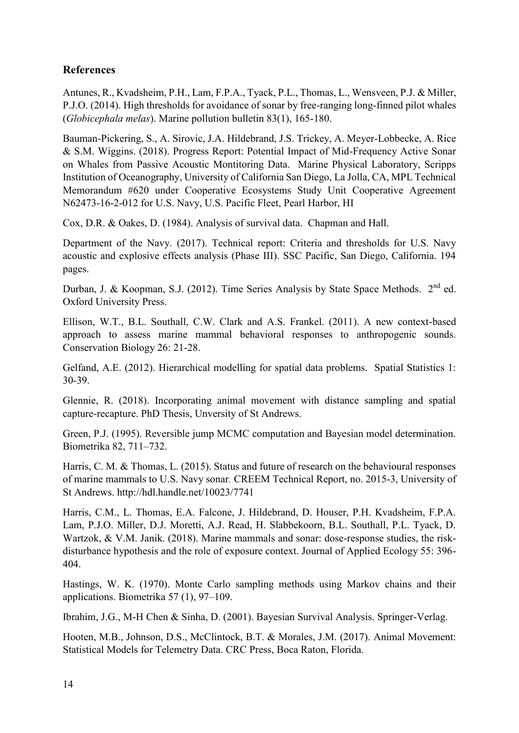# <span id="page-13-0"></span>**References**

Antunes, R., Kvadsheim, P.H., Lam, F.P.A., Tyack, P.L., Thomas, L., Wensveen, P.J. & Miller, P.J.O. (2014). High thresholds for avoidance of sonar by free-ranging long-finned pilot whales (*Globicephala melas*). Marine pollution bulletin 83(1), 165-180.

Bauman-Pickering, S., A. Sirovic, J.A. Hildebrand, J.S. Trickey, A. Meyer-Lobbecke, A. Rice & S.M. Wiggins. (2018). Progress Report: Potential Impact of Mid-Frequency Active Sonar on Whales from Passive Acoustic Montitoring Data. Marine Physical Laboratory, Scripps Institution of Oceanography, University of California San Diego, La Jolla, CA, MPL Technical Memorandum #620 under Cooperative Ecosystems Study Unit Cooperative Agreement N62473-16-2-012 for U.S. Navy, U.S. Pacific Fleet, Pearl Harbor, HI

Cox, D.R. & Oakes, D. (1984). Analysis of survival data. Chapman and Hall.

Department of the Navy. (2017). Technical report: Criteria and thresholds for U.S. Navy acoustic and explosive effects analysis (Phase III). SSC Pacific, San Diego, California. 194 pages.

Durban, J. & Koopman, S.J. (2012). Time Series Analysis by State Space Methods. 2<sup>nd</sup> ed. Oxford University Press.

Ellison, W.T., B.L. Southall, C.W. Clark and A.S. Frankel. (2011). A new context-based approach to assess marine mammal behavioral responses to anthropogenic sounds. Conservation Biology 26: 21-28.

Gelfand, A.E. (2012). Hierarchical modelling for spatial data problems. Spatial Statistics 1: 30-39.

Glennie, R. (2018). Incorporating animal movement with distance sampling and spatial capture-recapture. PhD Thesis, Unversity of St Andrews.

Green, P.J. (1995). Reversible jump MCMC computation and Bayesian model determination. Biometrika 82, 711–732.

Harris, C. M. & Thomas, L. (2015). Status and future of research on the behavioural responses of marine mammals to U.S. Navy sonar*.* CREEM Technical Report, no. 2015-3, University of St Andrews. http://hdl.handle.net/10023/7741

Harris, C.M., L. Thomas, E.A. Falcone, J. Hildebrand, D. Houser, P.H. Kvadsheim, F.P.A. Lam, P.J.O. Miller, D.J. Moretti, A.J. Read, H. Slabbekoorn, B.L. Southall, P.L. Tyack, D. Wartzok, & V.M. Janik. (2018). Marine mammals and sonar: dose-response studies, the riskdisturbance hypothesis and the role of exposure context. Journal of Applied Ecology 55: 396- 404.

Hastings, W. K. (1970). Monte Carlo sampling methods using Markov chains and their applications. Biometrika 57 (1), 97–109.

Ibrahim, J.G., M-H Chen & Sinha, D. (2001). Bayesian Survival Analysis. Springer-Verlag.

Hooten, M.B., Johnson, D.S., McClintock, B.T. & Morales, J.M. (2017). Animal Movement: Statistical Models for Telemetry Data. CRC Press, Boca Raton, Florida.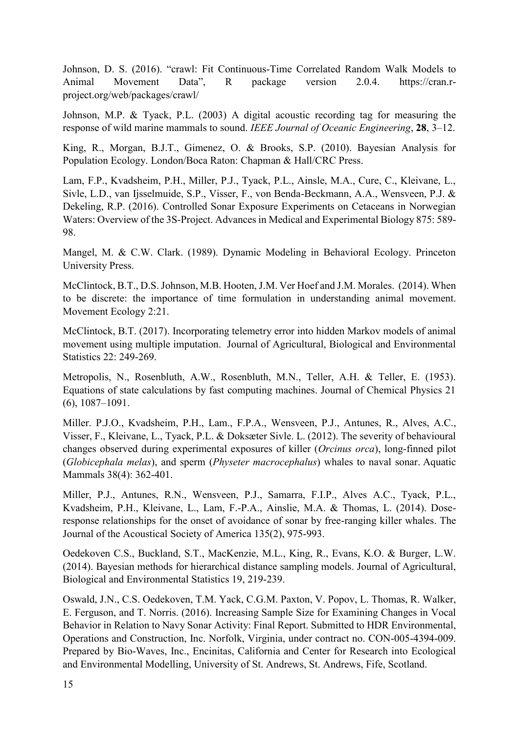Johnson, D. S. (2016). "crawl: Fit Continuous-Time Correlated Random Walk Models to Animal Movement Data", R package version 2.0.4. https://cran.rproject.org/web/packages/crawl/

Johnson, M.P. & Tyack, P.L. (2003) A digital acoustic recording tag for measuring the response of wild marine mammals to sound. *IEEE Journal of Oceanic Engineering*, **28**, 3–12.

King, R., Morgan, B.J.T., Gimenez, O. & Brooks, S.P. (2010). Bayesian Analysis for Population Ecology. London/Boca Raton: Chapman & Hall/CRC Press.

Lam, F.P., Kvadsheim, P.H., Miller, P.J., Tyack, P.L., Ainsle, M.A., Cure, C., Kleivane, L., Sivle, L.D., van Ijsselmuide, S.P., Visser, F., von Benda-Beckmann, A.A., Wensveen, P.J. & Dekeling, R.P. (2016). Controlled Sonar Exposure Experiments on Cetaceans in Norwegian Waters: Overview of the 3S-Project. Advances in Medical and Experimental Biology 875: 589- 98.

Mangel, M. & C.W. Clark. (1989). Dynamic Modeling in Behavioral Ecology. Princeton University Press.

McClintock, B.T., D.S. Johnson, M.B. Hooten, J.M. Ver Hoef and J.M. Morales. (2014). When to be discrete: the importance of time formulation in understanding animal movement. Movement Ecology 2:21.

McClintock, B.T. (2017). Incorporating telemetry error into hidden Markov models of animal movement using multiple imputation. Journal of Agricultural, Biological and Environmental Statistics 22: 249-269.

Metropolis, N., Rosenbluth, A.W., Rosenbluth, M.N., Teller, A.H. & Teller, E. (1953). Equations of state calculations by fast computing machines. Journal of Chemical Physics 21 (6), 1087–1091.

Miller. P.J.O., Kvadsheim, P.H., Lam., F.P.A., Wensveen, P.J., Antunes, R., Alves, A.C., Visser, F., Kleivane, L., Tyack, P.L. & Doksæter Sivle. L. (2012). The severity of behavioural changes observed during experimental exposures of killer (*Orcinus orca*), long-finned pilot (*Globicephala melas*), and sperm (*Physeter macrocephalus*) whales to naval sonar. Aquatic Mammals 38(4): 362-401.

Miller, P.J., Antunes, R.N., Wensveen, P.J., Samarra, F.I.P., Alves A.C., Tyack, P.L., Kvadsheim, P.H., Kleivane, L., Lam, F.-P.A., Ainslie, M.A. & Thomas, L. (2014). Doseresponse relationships for the onset of avoidance of sonar by free-ranging killer whales. The Journal of the Acoustical Society of America 135(2), 975-993.

Oedekoven C.S., Buckland, S.T., MacKenzie, M.L., King, R., Evans, K.O. & Burger, L.W. (2014). Bayesian methods for hierarchical distance sampling models. Journal of Agricultural, Biological and Environmental Statistics 19, 219-239.

Oswald, J.N., C.S. Oedekoven, T.M. Yack, C.G.M. Paxton, V. Popov, L. Thomas, R. Walker, E. Ferguson, and T. Norris. (2016). Increasing Sample Size for Examining Changes in Vocal Behavior in Relation to Navy Sonar Activity: Final Report. Submitted to HDR Environmental, Operations and Construction, Inc. Norfolk, Virginia, under contract no. CON-005-4394-009. Prepared by Bio-Waves, Inc., Encinitas, California and Center for Research into Ecological and Environmental Modelling, University of St. Andrews, St. Andrews, Fife, Scotland.